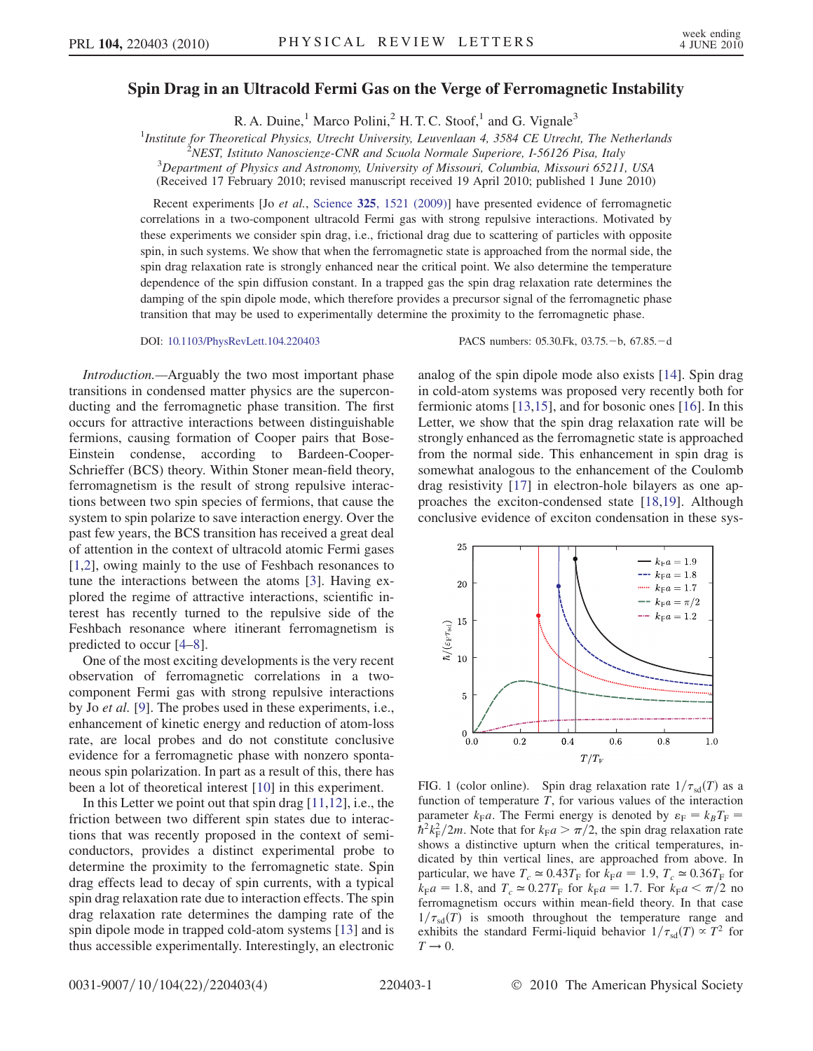## Spin Drag in an Ultracold Fermi Gas on the Verge of Ferromagnetic Instability

R. A. Duine,<sup>1</sup> Marco Polini,<sup>2</sup> H. T. C. Stoof,<sup>1</sup> and G. Vignale<sup>3</sup>

<sup>1</sup>Institute for Theoretical Physics, Utrecht University, Leuvenlaan 4, 3584 CE Utrecht, The Netherlands  $\frac{2NEST}{1}$  Istitute Nanoscianze CNB and Squale Normale Superiore 1, 56126 Bise, Italy

 $\tilde{P}$ NEST, Istituto Nanoscienze-CNR and Scuola Normale Superiore, I-56126 Pisa, Italy

 $3$ Department of Physics and Astronomy, University of Missouri, Columbia, Missouri 65211, USA

(Received 17 February 2010; revised manuscript received 19 April 2010; published 1 June 2010)

Recent experiments [Jo et al., Science 325[, 1521 \(2009\)\]](http://dx.doi.org/10.1126/science.1177112) have presented evidence of ferromagnetic correlations in a two-component ultracold Fermi gas with strong repulsive interactions. Motivated by these experiments we consider spin drag, i.e., frictional drag due to scattering of particles with opposite spin, in such systems. We show that when the ferromagnetic state is approached from the normal side, the spin drag relaxation rate is strongly enhanced near the critical point. We also determine the temperature dependence of the spin diffusion constant. In a trapped gas the spin drag relaxation rate determines the damping of the spin dipole mode, which therefore provides a precursor signal of the ferromagnetic phase transition that may be used to experimentally determine the proximity to the ferromagnetic phase.

DOI: [10.1103/PhysRevLett.104.220403](http://dx.doi.org/10.1103/PhysRevLett.104.220403) PACS numbers: 05.30.Fk, 03.75. -b, 67.85. -d

Introduction.—Arguably the two most important phase transitions in condensed matter physics are the superconducting and the ferromagnetic phase transition. The first occurs for attractive interactions between distinguishable fermions, causing formation of Cooper pairs that Bose-Einstein condense, according to Bardeen-Cooper-Schrieffer (BCS) theory. Within Stoner mean-field theory, ferromagnetism is the result of strong repulsive interactions between two spin species of fermions, that cause the system to spin polarize to save interaction energy. Over the past few years, the BCS transition has received a great deal of attention in the context of ultracold atomic Fermi gases [\[1,](#page-3-0)[2](#page-3-1)], owing mainly to the use of Feshbach resonances to tune the interactions between the atoms [\[3\]](#page-3-2). Having explored the regime of attractive interactions, scientific interest has recently turned to the repulsive side of the Feshbach resonance where itinerant ferromagnetism is predicted to occur [\[4](#page-3-3)–[8\]](#page-3-4).

One of the most exciting developments is the very recent observation of ferromagnetic correlations in a twocomponent Fermi gas with strong repulsive interactions by Jo et al. [\[9\]](#page-3-5). The probes used in these experiments, i.e., enhancement of kinetic energy and reduction of atom-loss rate, are local probes and do not constitute conclusive evidence for a ferromagnetic phase with nonzero spontaneous spin polarization. In part as a result of this, there has been a lot of theoretical interest [\[10\]](#page-3-6) in this experiment.

In this Letter we point out that spin drag [[11,](#page-3-7)[12](#page-3-8)], i.e., the friction between two different spin states due to interactions that was recently proposed in the context of semiconductors, provides a distinct experimental probe to determine the proximity to the ferromagnetic state. Spin drag effects lead to decay of spin currents, with a typical spin drag relaxation rate due to interaction effects. The spin drag relaxation rate determines the damping rate of the spin dipole mode in trapped cold-atom systems [[13](#page-3-9)] and is thus accessible experimentally. Interestingly, an electronic analog of the spin dipole mode also exists [[14](#page-3-10)]. Spin drag in cold-atom systems was proposed very recently both for fermionic atoms [\[13,](#page-3-9)[15](#page-3-11)], and for bosonic ones [\[16\]](#page-3-12). In this Letter, we show that the spin drag relaxation rate will be strongly enhanced as the ferromagnetic state is approached from the normal side. This enhancement in spin drag is somewhat analogous to the enhancement of the Coulomb drag resistivity [[17](#page-3-13)] in electron-hole bilayers as one approaches the exciton-condensed state [[18](#page-3-14)[,19](#page-3-15)]. Although conclusive evidence of exciton condensation in these sys-

<span id="page-0-0"></span>

FIG. 1 (color online). Spin drag relaxation rate  $1/\tau_{sd}(T)$  as a function of temperature  $T$ , for various values of the interaction parameter  $k_{\rm F}a$ . The Fermi energy is denoted by  $\varepsilon_{\rm F} = k_B T_{\rm F}$  =  $\hbar^2 k_F^2/2m$ . Note that for  $k_F a > \pi/2$ , the spin drag relaxation rate shows a distinctive upturn when the critical temperatures, indicated by thin vertical lines, are approached from above. In particular, we have  $T_c \approx 0.43T_F$  for  $k_F a = 1.9$ ,  $T_c \approx 0.36T_F$  for  $\hat{k}_{\text{F}}a = 1.8$ , and  $T_c \approx 0.27T_{\text{F}}$  for  $k_{\text{F}}a = 1.7$ . For  $k_{\text{F}}a < \pi/2$  no<br>ferromagnetism occurs within mean-field theory. In that case ferromagnetism occurs within mean-field theory. In that case  $1/\tau_{sd}(T)$  is smooth throughout the temperature range and exhibits the standard Fermi-liquid behavior  $1/\tau_{sd}(T) \propto T^2$  for  $T \rightarrow 0.$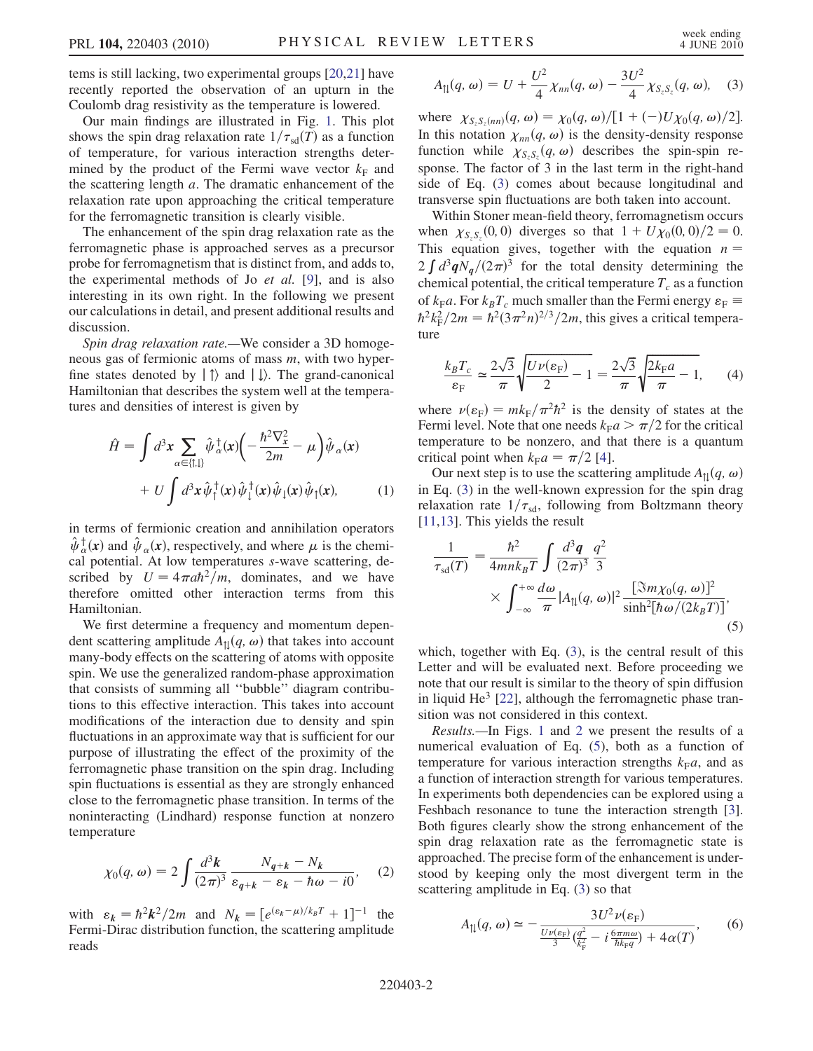tems is still lacking, two experimental groups [[20](#page-3-16)[,21](#page-3-17)] have recently reported the observation of an upturn in the Coulomb drag resistivity as the temperature is lowered.

Our main findings are illustrated in Fig. [1](#page-0-0). This plot shows the spin drag relaxation rate  $1/\tau_{sd}(T)$  as a function of temperature, for various interaction strengths determined by the product of the Fermi wave vector  $k_F$  and the scattering length a. The dramatic enhancement of the relaxation rate upon approaching the critical temperature for the ferromagnetic transition is clearly visible.

The enhancement of the spin drag relaxation rate as the ferromagnetic phase is approached serves as a precursor probe for ferromagnetism that is distinct from, and adds to, the experimental methods of Jo et al. [\[9](#page-3-5)], and is also interesting in its own right. In the following we present our calculations in detail, and present additional results and discussion.

Spin drag relaxation rate.—We consider a 3D homogeneous gas of fermionic atoms of mass m, with two hyperfine states denoted by  $|\uparrow\rangle$  and  $|\downarrow\rangle$ . The grand-canonical Hamiltonian that describes the system well at the temperatures and densities of interest is given by

$$
\hat{H} = \int d^3x \sum_{\alpha \in \{\uparrow, \downarrow\}} \hat{\psi}_{\alpha}^{\dagger}(x) \left( -\frac{\hbar^2 \nabla_x^2}{2m} - \mu \right) \hat{\psi}_{\alpha}(x) \n+ U \int d^3x \hat{\psi}_{\uparrow}^{\dagger}(x) \hat{\psi}_{\downarrow}^{\dagger}(x) \hat{\psi}_{\downarrow}(x) \hat{\psi}_{\uparrow}(x),
$$
\n(1)

in terms of fermionic creation and annihilation operators  $\hat{\psi}_{\alpha}^{\dagger}(\mathbf{x})$  and  $\hat{\psi}_{\alpha}(\mathbf{x})$ , respectively, and where  $\mu$  is the chemi-<br>cal potential. At low temperatures, s-wave scattering, decal potential. At low temperatures s-wave scattering, described by  $U = 4\pi a \hbar^2/m$ , dominates, and we have<br>therefore omitted other interaction terms from this therefore omitted other interaction terms from this Hamiltonian.

We first determine a frequency and momentum dependent scattering amplitude  $A_{\parallel}(q, \omega)$  that takes into account many-body effects on the scattering of atoms with opposite spin. We use the generalized random-phase approximation that consists of summing all ''bubble'' diagram contributions to this effective interaction. This takes into account modifications of the interaction due to density and spin fluctuations in an approximate way that is sufficient for our purpose of illustrating the effect of the proximity of the ferromagnetic phase transition on the spin drag. Including spin fluctuations is essential as they are strongly enhanced close to the ferromagnetic phase transition. In terms of the noninteracting (Lindhard) response function at nonzero temperature

$$
\chi_0(q,\omega) = 2 \int \frac{d^3k}{(2\pi)^3} \frac{N_{q+k} - N_k}{\varepsilon_{q+k} - \varepsilon_k - \hbar\omega - i0}, \quad (2)
$$

with  $\varepsilon_k = \hbar^2 k^2 / 2m$  and  $N_k = [e^{(\varepsilon_k - \mu)/k_B T} + 1]$ <br>Fermi-Dirac distribution function the scattering am  $]^{-1}$  the Fermi-Dirac distribution function, the scattering amplitude reads

<span id="page-1-0"></span>
$$
A_{\|}(q,\omega) = U + \frac{U^2}{4}\chi_{nn}(q,\omega) - \frac{3U^2}{4}\chi_{S_zS_z}(q,\omega), \quad (3)
$$

where  $\chi_{S_zS_z(nn)}(q, \omega) = \chi_0(q, \omega) / [1 + (-)U\chi_0(q, \omega) / 2].$ <br>In this notation  $\chi_0(q, \omega)$  is the density density response In this notation  $\chi_{nn}(q, \omega)$  is the density-density response function while  $\chi_{S_2S_2}(q,\omega)$  describes the spin-spin response. The factor of 3 in the last term in the right-hand side of Eq. ([3\)](#page-1-0) comes about because longitudinal and transverse spin fluctuations are both taken into account.

Within Stoner mean-field theory, ferromagnetism occurs when  $\chi_{S_2S_2}(0,0)$  diverges so that  $1 + U\chi_0(0,0)/2 = 0$ .<br>This equation gives together with the equation  $n =$ This equation gives, together with the equation  $n =$  $2 \int d^3q \dot{N}_q/(2\pi)^3$  for the total density determining the chamical potential the critical temperature T as a function  $\mathbb{E}[\mathbf{y}^T, \mathbf{y}^T, \mathbf{y}^T]$  are the component value of the critical temperature  $T_c$  as a function of  $k_{\text{F}}a$ . For  $k_BT_c$  much smaller than the Fermi energy  $\varepsilon_{\text{F}} \equiv$  $\hbar^2 k_F^2/2m = \hbar^2(3\pi^2 n)^{2/3}/2m$ , this gives a critical temperature ture

$$
\frac{k_B T_c}{\varepsilon_F} \simeq \frac{2\sqrt{3}}{\pi} \sqrt{\frac{U \nu(\varepsilon_F)}{2} - 1} = \frac{2\sqrt{3}}{\pi} \sqrt{\frac{2k_F a}{\pi} - 1},\qquad(4)
$$

where  $v(\varepsilon_F) = mk_F/\pi^2 \hbar^2$  is the density of states at the<br>Fermi level Note that one needs  $k_F a > \pi/2$  for the critical Fermi level. Note that one needs  $k_{\rm F}a > \pi/2$  for the critical temperature to be nonzero, and that there is a quantum critical point when  $k_{\rm F}a = \pi/2$  [[4](#page-3-3)].<br>Our next step is to use the scatter

Our next step is to use the scattering amplitude  $A_{\text{tl}}(q, \omega)$ in Eq. ([3\)](#page-1-0) in the well-known expression for the spin drag relaxation rate  $1/\tau_{sd}$ , following from Boltzmann theory [\[11](#page-3-7)[,13\]](#page-3-9). This yields the result

<span id="page-1-1"></span>
$$
\frac{1}{\tau_{sd}(T)} = \frac{\hbar^2}{4mnk_BT} \int \frac{d^3q}{(2\pi)^3} \frac{q^2}{3}
$$

$$
\times \int_{-\infty}^{+\infty} \frac{d\omega}{\pi} |A_{\parallel}(q,\omega)|^2 \frac{[\Im m\chi_0(q,\omega)]^2}{\sinh^2[\hbar\omega/(2k_BT)]},
$$
(5)

which, together with Eq.  $(3)$  $(3)$ , is the central result of this Letter and will be evaluated next. Before proceeding we note that our result is similar to the theory of spin diffusion in liquid He $3$  [\[22\]](#page-3-18), although the ferromagnetic phase transition was not considered in this context.

Results.—In Figs. [1](#page-0-0) and [2](#page-2-0) we present the results of a numerical evaluation of Eq. [\(5\)](#page-1-1), both as a function of temperature for various interaction strengths  $k_{\rm F}a$ , and as a function of interaction strength for various temperatures. In experiments both dependencies can be explored using a Feshbach resonance to tune the interaction strength [[3\]](#page-3-2). Both figures clearly show the strong enhancement of the spin drag relaxation rate as the ferromagnetic state is approached. The precise form of the enhancement is understood by keeping only the most divergent term in the scattering amplitude in Eq. ([3](#page-1-0)) so that

$$
A_{\uparrow\downarrow}(q,\omega) \simeq -\frac{3U^2\nu(\varepsilon_{\rm F})}{\frac{U\nu(\varepsilon_{\rm F})}{3}\left(\frac{q^2}{k_{\rm F}} - i\frac{6\pi m\omega}{\hbar k_{\rm F}q}\right) + 4\alpha(T)},\qquad(6)
$$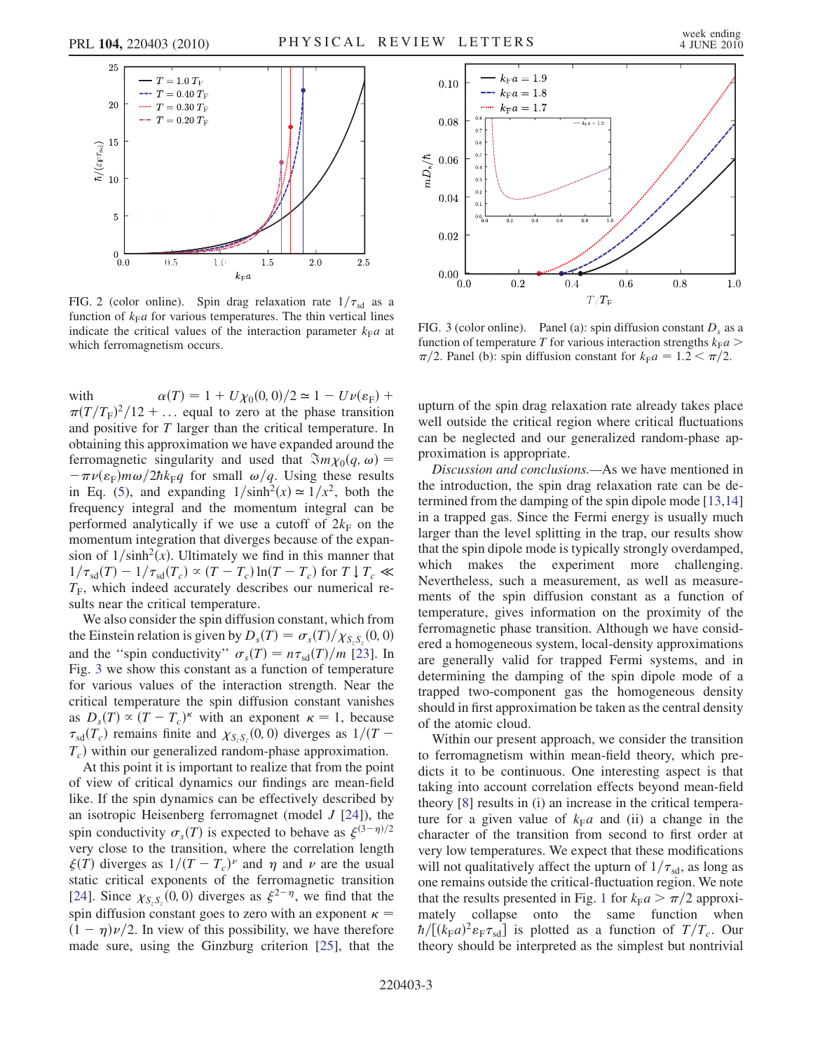<span id="page-2-0"></span>

FIG. 2 (color online). Spin drag relaxation rate  $1/\tau_{sd}$  as a function of  $k_{\mathrm{F}}a$  for various temperatures. The thin vertical lines indicate the critical values of the interaction parameter  $k_{\rm F}a$  at which ferromagnetism occurs.

with  $\alpha(T) = 1 + U\chi_0(0, 0)/2 \approx 1 - U\nu(\varepsilon_F) +$  $\pi (T/T_{\rm F})^2/12 + ...$  equal to zero at the phase transition<br>and positive for T larger than the critical temperature. In and positive for T larger than the critical temperature. In obtaining this approximation we have expanded around the ferromagnetic singularity and used that  $\Im m\chi_0(q, \omega)$  =  $-\pi \nu(\epsilon_F) m \omega/2\hbar k_F q$  for small  $\omega/q$ . Using these results<br>in Eq. (5) and expanding  $1/\sinh^2(r) \approx 1/r^2$  both the in Eq. ([5](#page-1-1)), and expanding  $1/\sinh^2(x) \approx 1/x^2$ , both the frequency integral and the momentum integral can be performed analytically if we use a cutoff of  $2k_F$  on the momentum integration that diverges because of the expansion of  $1/\sinh^2(x)$ . Ultimately we find in this manner that  $1/\tau_{sd}(T) - 1/\tau_{sd}(T_c) \propto (T - T_c) \ln(T - T_c)$  for  $T \downarrow T_c \ll T_c$  $T_F$ , which indeed accurately describes our numerical results near the critical temperature.

We also consider the spin diffusion constant, which from the Einstein relation is given by  $D_s(T) = \sigma_s(T)/\chi_{S_sS_s}(0,0)$ <br>and the "spin conductivity"  $\sigma(T) = n\sigma_s(T)/m_s[231]$  In and the "spin conductivity"  $\sigma_s(T) = n \tau_{sd}(T)/m$  [\[23\]](#page-3-19). In Fig. [3](#page-2-1) we show this constant as a function of temperature for various values of the interaction strength. Near the critical temperature the spin diffusion constant vanishes as  $D_s(T) \propto (T - T_c)^{\kappa}$  with an exponent  $\kappa = 1$ , because  $\tau_s(T)$  remains finite and  $\gamma_{s,a}(0,0)$  diverges as  $1/(T \tau_{sd}(T_c)$  remains finite and  $\chi_{S_cS_c}(0,0)$  diverges as  $1/(T-T)$  within our generalized random phase approximation  $T_c$ ) within our generalized random-phase approximation.

At this point it is important to realize that from the point of view of critical dynamics our findings are mean-field like. If the spin dynamics can be effectively described by an isotropic Heisenberg ferromagnet (model  $J$  [\[24\]](#page-3-20)), the spin conductivity  $\sigma_s(T)$  is expected to behave as  $\xi^{(3-\eta)/2}$ <br>very close to the transition, where the correlation length very close to the transition, where the correlation length  $\xi(T)$  diverges as  $1/(T - T_c)^{\nu}$  and  $\eta$  and  $\nu$  are the usual<br>static critical exponents of the ferromagnetic transition static critical exponents of the ferromagnetic transition [\[24\]](#page-3-20). Since  $\chi_{S_z S_z}(0, 0)$  diverges as  $\xi^{2-\eta}$ , we find that the spin diffusion constant goes to zero with an exponent  $\kappa$  =  $(1 - \eta)\nu/2$ . In view of this possibility, we have therefore made sure using the Ginzburg criterion [25] that the made sure, using the Ginzburg criterion [\[25](#page-3-21)], that the

<span id="page-2-1"></span>

FIG. 3 (color online). Panel (a): spin diffusion constant  $D_s$  as a function of temperature T for various interaction strengths  $k_F a$  $\pi/2$ . Panel (b): spin diffusion constant for  $k_{\rm F}a = 1.2 < \pi/2$ .

upturn of the spin drag relaxation rate already takes place well outside the critical region where critical fluctuations can be neglected and our generalized random-phase approximation is appropriate.

Discussion and conclusions.—As we have mentioned in the introduction, the spin drag relaxation rate can be determined from the damping of the spin dipole mode [\[13,](#page-3-9)[14\]](#page-3-10) in a trapped gas. Since the Fermi energy is usually much larger than the level splitting in the trap, our results show that the spin dipole mode is typically strongly overdamped, which makes the experiment more challenging. Nevertheless, such a measurement, as well as measurements of the spin diffusion constant as a function of temperature, gives information on the proximity of the ferromagnetic phase transition. Although we have considered a homogeneous system, local-density approximations are generally valid for trapped Fermi systems, and in determining the damping of the spin dipole mode of a trapped two-component gas the homogeneous density should in first approximation be taken as the central density of the atomic cloud.

Within our present approach, we consider the transition to ferromagnetism within mean-field theory, which predicts it to be continuous. One interesting aspect is that taking into account correlation effects beyond mean-field theory [\[8](#page-3-4)] results in (i) an increase in the critical temperature for a given value of  $k_{\text{F}}a$  and (ii) a change in the character of the transition from second to first order at very low temperatures. We expect that these modifications will not qualitatively affect the upturn of  $1/\tau_{sd}$ , as long as one remains outside the critical-fluctuation region. We note that the results presented in Fig. [1](#page-0-0) for  $k_{\rm F}a > \pi/2$  approximately collapse onto the same function when  $\hbar/[(k_{\rm F}a)^2 \varepsilon_{\rm F}\tau_{\rm sd}]$  is plotted as a function of  $T/T_c$ . Our theory should be interpreted as the simplest but nontrivial theory should be interpreted as the simplest but nontrivial